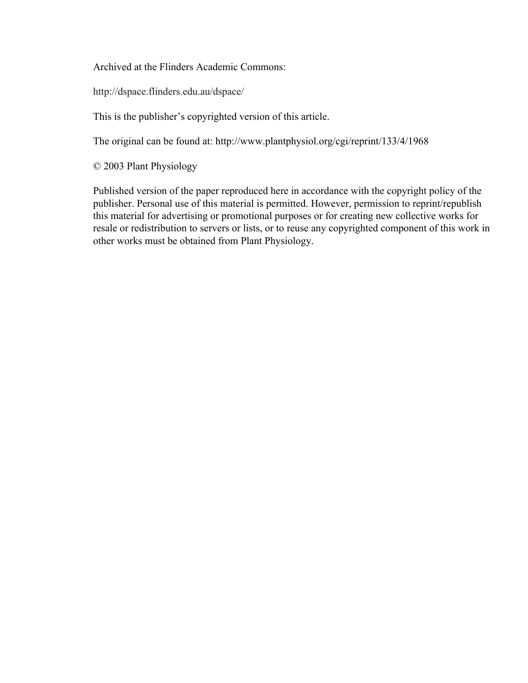Archived at the Flinders Academic Commons:

http://dspace.flinders.edu.au/dspace/

This is the publisher's copyrighted version of this article.

The original can be found at: http://www.plantphysiol.org/cgi/reprint/133/4/1968

© 2003 Plant Physiology

Published version of the paper reproduced here in accordance with the copyright policy of the publisher. Personal use of this material is permitted. However, permission to reprint/republish this material for advertising or promotional purposes or for creating new collective works for resale or redistribution to servers or lists, or to reuse any copyrighted component of this work in other works must be obtained from Plant Physiology.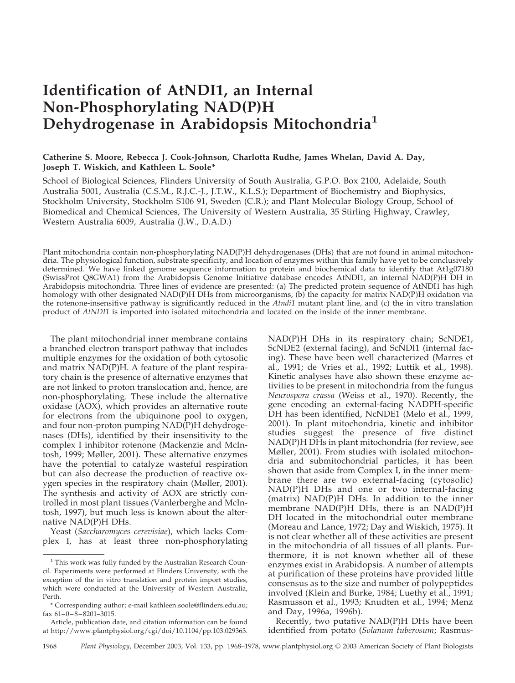# **Identification of AtNDI1, an Internal Non-Phosphorylating NAD(P)H Dehydrogenase in Arabidopsis Mitochondria<sup>1</sup>**

# **Catherine S. Moore, Rebecca J. Cook-Johnson, Charlotta Rudhe, James Whelan, David A. Day, Joseph T. Wiskich, and Kathleen L. Soole\***

School of Biological Sciences, Flinders University of South Australia, G.P.O. Box 2100, Adelaide, South Australia 5001, Australia (C.S.M., R.J.C.-J., J.T.W., K.L.S.); Department of Biochemistry and Biophysics, Stockholm University, Stockholm S106 91, Sweden (C.R.); and Plant Molecular Biology Group, School of Biomedical and Chemical Sciences, The University of Western Australia, 35 Stirling Highway, Crawley, Western Australia 6009, Australia (J.W., D.A.D.)

Plant mitochondria contain non-phosphorylating NAD(P)H dehydrogenases (DHs) that are not found in animal mitochondria. The physiological function, substrate specificity, and location of enzymes within this family have yet to be conclusively determined. We have linked genome sequence information to protein and biochemical data to identify that At1g07180 (SwissProt Q8GWA1) from the Arabidopsis Genome Initiative database encodes AtNDI1, an internal NAD(P)H DH in Arabidopsis mitochondria. Three lines of evidence are presented: (a) The predicted protein sequence of AtNDI1 has high homology with other designated NAD(P)H DHs from microorganisms, (b) the capacity for matrix NAD(P)H oxidation via the rotenone-insensitive pathway is significantly reduced in the *Atndi1* mutant plant line, and (c) the in vitro translation product of *AtNDI1* is imported into isolated mitochondria and located on the inside of the inner membrane.

The plant mitochondrial inner membrane contains a branched electron transport pathway that includes multiple enzymes for the oxidation of both cytosolic and matrix NAD(P)H. A feature of the plant respiratory chain is the presence of alternative enzymes that are not linked to proton translocation and, hence, are non-phosphorylating. These include the alternative oxidase (AOX), which provides an alternative route for electrons from the ubiquinone pool to oxygen, and four non-proton pumping NAD(P)H dehydrogenases (DHs), identified by their insensitivity to the complex I inhibitor rotenone (Mackenzie and McIntosh, 1999; Møller, 2001). These alternative enzymes have the potential to catalyze wasteful respiration but can also decrease the production of reactive oxygen species in the respiratory chain (Møller, 2001). The synthesis and activity of AOX are strictly controlled in most plant tissues (Vanlerberghe and McIntosh, 1997), but much less is known about the alternative NAD(P)H DHs.

Yeast (*Saccharomyces cerevisiae*), which lacks Complex I, has at least three non-phosphorylating

NAD(P)H DHs in its respiratory chain; ScNDE1, ScNDE2 (external facing), and ScNDI1 (internal facing). These have been well characterized (Marres et al., 1991; de Vries et al., 1992; Luttik et al., 1998). Kinetic analyses have also shown these enzyme activities to be present in mitochondria from the fungus *Neurospora crassa* (Weiss et al., 1970). Recently, the gene encoding an external-facing NADPH-specific DH has been identified, NcNDE1 (Melo et al., 1999, 2001). In plant mitochondria, kinetic and inhibitor studies suggest the presence of five distinct NAD(P)H DHs in plant mitochondria (for review, see Møller, 2001). From studies with isolated mitochondria and submitochondrial particles, it has been shown that aside from Complex I, in the inner membrane there are two external-facing (cytosolic) NAD(P)H DHs and one or two internal-facing (matrix) NAD(P)H DHs. In addition to the inner membrane NAD(P)H DHs, there is an NAD(P)H DH located in the mitochondrial outer membrane (Moreau and Lance, 1972; Day and Wiskich, 1975). It is not clear whether all of these activities are present in the mitochondria of all tissues of all plants. Furthermore, it is not known whether all of these enzymes exist in Arabidopsis. A number of attempts at purification of these proteins have provided little consensus as to the size and number of polypeptides involved (Klein and Burke, 1984; Luethy et al., 1991; Rasmusson et al., 1993; Knudten et al., 1994; Menz and Day, 1996a, 1996b).

Recently, two putative NAD(P)H DHs have been identified from potato (*Solanum tuberosum*; Rasmus-

<sup>&</sup>lt;sup>1</sup> This work was fully funded by the Australian Research Council. Experiments were performed at Flinders University, with the exception of the in vitro translation and protein import studies, which were conducted at the University of Western Australia, Perth.

<sup>\*</sup> Corresponding author; e-mail kathleen.soole@flinders.edu.au; fax 61–0–8– 8201–3015.

Article, publication date, and citation information can be found at http://www.plantphysiol.org/cgi/doi/10.1104/pp.103.029363.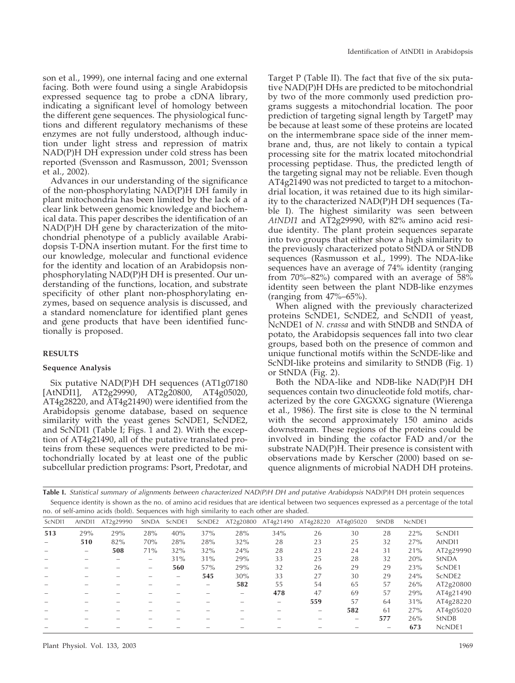son et al., 1999), one internal facing and one external facing. Both were found using a single Arabidopsis expressed sequence tag to probe a cDNA library, indicating a significant level of homology between the different gene sequences. The physiological functions and different regulatory mechanisms of these enzymes are not fully understood, although induction under light stress and repression of matrix NAD(P)H DH expression under cold stress has been reported (Svensson and Rasmusson, 2001; Svensson et al., 2002).

Advances in our understanding of the significance of the non-phosphorylating NAD(P)H DH family in plant mitochondria has been limited by the lack of a clear link between genomic knowledge and biochemical data. This paper describes the identification of an NAD(P)H DH gene by characterization of the mitochondrial phenotype of a publicly available Arabidopsis T-DNA insertion mutant. For the first time to our knowledge, molecular and functional evidence for the identity and location of an Arabidopsis nonphosphorylating NAD(P)H DH is presented. Our understanding of the functions, location, and substrate specificity of other plant non-phosphorylating enzymes, based on sequence analysis is discussed, and a standard nomenclature for identified plant genes and gene products that have been identified functionally is proposed.

## **RESULTS**

## **Sequence Analysis**

Six putative NAD(P)H DH sequences (AT1g07180 [AtNDI1], AT2g29990, AT2g20800, AT4g05020, AT4g28220, and AT4g21490) were identified from the Arabidopsis genome database, based on sequence similarity with the yeast genes ScNDE1, ScNDE2, and ScNDI1 (Table I; Figs. 1 and 2). With the exception of AT4g21490, all of the putative translated proteins from these sequences were predicted to be mitochondrially located by at least one of the public subcellular prediction programs: Psort, Predotar, and

Target P (Table II). The fact that five of the six putative NAD(P)H DHs are predicted to be mitochondrial by two of the more commonly used prediction programs suggests a mitochondrial location. The poor prediction of targeting signal length by TargetP may be because at least some of these proteins are located on the intermembrane space side of the inner membrane and, thus, are not likely to contain a typical processing site for the matrix located mitochondrial processing peptidase. Thus, the predicted length of the targeting signal may not be reliable. Even though AT4g21490 was not predicted to target to a mitochondrial location, it was retained due to its high similarity to the characterized NAD(P)H DH sequences (Table I). The highest similarity was seen between *AtNDI1* and AT2g29990, with 82% amino acid residue identity. The plant protein sequences separate into two groups that either show a high similarity to the previously characterized potato StNDA or StNDB sequences (Rasmusson et al., 1999). The NDA-like sequences have an average of 74% identity (ranging from 70%–82%) compared with an average of 58% identity seen between the plant NDB-like enzymes (ranging from  $47\% - 65\%$ ).

When aligned with the previously characterized proteins ScNDE1, ScNDE2, and ScNDI1 of yeast, NcNDE1 of *N. crassa* and with StNDB and StNDA of potato, the Arabidopsis sequences fall into two clear groups, based both on the presence of common and unique functional motifs within the ScNDE-like and ScNDI-like proteins and similarity to StNDB (Fig. 1) or StNDA (Fig. 2).

Both the NDA-like and NDB-like NAD(P)H DH sequences contain two dinucleotide fold motifs, characterized by the core GXGXXG signature (Wierenga et al., 1986). The first site is close to the N terminal with the second approximately 150 amino acids downstream. These regions of the proteins could be involved in binding the cofactor FAD and/or the substrate NAD(P)H. Their presence is consistent with observations made by Kerscher (2000) based on sequence alignments of microbial NADH DH proteins.

**Table I.** *Statistical summary of alignments between characterized NAD(P)H DH and putative Arabidopsis* NAD(P)H DH protein sequences Sequence identity is shown as the no. of amino acid residues that are identical between two sequences expressed as a percentage of the total no. of self-amino acids (bold). Sequences with high similarity to each other are shaded.

| ScND <sub>11</sub> | AtND <sub>11</sub> | AT2g29990 | StNDA                    | ScNDE1                   | ScNDE2 |     | AT2g20800 AT4g21490 | AT4g28220         | AT4g05020                | <b>StNDB</b> | NcNDE1 |                    |
|--------------------|--------------------|-----------|--------------------------|--------------------------|--------|-----|---------------------|-------------------|--------------------------|--------------|--------|--------------------|
| 513                | 29%                | 29%       | 28%                      | 40%                      | 37%    | 28% | 34%                 | 26                | 30                       | 28           | 22%    | ScND <sub>11</sub> |
|                    | 510                | 82%       | 70%                      | 28%                      | 28%    | 32% | 28                  | 23                | 25                       | 32           | 27%    | AtND <sub>11</sub> |
|                    |                    | 508       | 71%                      | 32%                      | 32%    | 24% | 28                  | 23                | 24                       | 31           | 21%    | AT2g29990          |
|                    |                    |           | $\overline{\phantom{0}}$ | 31%                      | 31%    | 29% | 33                  | 25                | 28                       | 32           | 20%    | <b>StNDA</b>       |
|                    |                    |           | $\overline{\phantom{a}}$ | 560                      | 57%    | 29% | 32                  | 26                | 29                       | 29           | 23%    | ScNDE1             |
|                    |                    |           |                          | $\overline{\phantom{a}}$ | 545    | 30% | 33                  | 27                | 30                       | 29           | 24%    | ScNDE <sub>2</sub> |
|                    |                    |           |                          |                          |        | 582 | 55                  | 54                | 65                       | 57           | 26%    | AT2g20800          |
|                    |                    |           |                          |                          |        |     | 478                 | 47                | 69                       | 57           | 29%    | AT4g21490          |
|                    |                    |           |                          |                          |        |     |                     | 559               | 57                       | 64           | 31%    | AT4g28220          |
|                    |                    |           |                          |                          |        |     |                     | $\hspace{0.05cm}$ | 582                      | 61           | 27%    | AT4g05020          |
|                    |                    |           |                          |                          |        |     |                     |                   | $\overline{\phantom{0}}$ | 577          | 26%    | <b>StNDB</b>       |
|                    |                    |           |                          |                          |        |     |                     |                   |                          |              | 673    | NcNDE1             |
|                    |                    |           |                          |                          |        |     |                     |                   |                          |              |        |                    |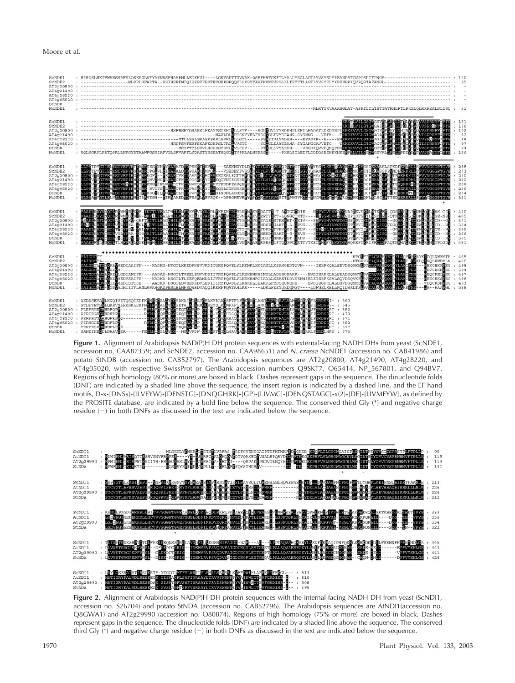#### Moore et al.

| ScNDE1                                                                                   | : MIRQSLMKTVWANSSRFSLQSKSGLVKYAKNRSFHAARNLLEDKKVI----LQKVAPTTGVVAK-QSFFKRTGKFTLKALLYSALAGTAYVSYSLYREANPSTQVPQSDTFPNGS----------------------- : 110                                                                                                                                                                                                                                                                                                                          |                                                                      |
|------------------------------------------------------------------------------------------|-----------------------------------------------------------------------------------------------------------------------------------------------------------------------------------------------------------------------------------------------------------------------------------------------------------------------------------------------------------------------------------------------------------------------------------------------------------------------------|----------------------------------------------------------------------|
|                                                                                          |                                                                                                                                                                                                                                                                                                                                                                                                                                                                             | 151<br>: 136<br>102<br>82<br>88<br>97<br>94<br>: 186                 |
| SCNDE1<br>ScNDE2<br>AT2q20800:<br>AT4g21490<br>AT4g28220<br>AT4q05020<br>StNDB<br>NCNDE1 | HDSTPVEHELKSIVEPPILARSHGRYHMENEATDTPENTLEVKS---SAKNNYDLDEXDYLVV3VGAPETTGHTEVTEXETEDAGETEMMELSEKULEEKKILLSEVVCGGPTGVE<br>LDSTPVFHENKSIVEPIRGARKGFG--NGARCVKIDANKGHCSSKCGWESSICTTESD/DTDE/ILNVGKCNTPVFGVGAMGAKERDAGETEMMENETDSGEREN                                                                                                                                                                                                                                           | : 288<br>: 273<br>: 240<br>: 222<br>: 228<br>: 236<br>: 234<br>: 321 |
| SCNDE1<br>ScNDE2<br>AT2q20800:<br>AT4g21490<br>AT4g28220<br>AT4q05020<br>StNDB<br>NCNDE1 | RABIROVICODERMERISE-HYVBAPRILMMERYTVPACDISKEKHPPLKPMETADETT-7-RKGEDIE---NBYCVLVMRENABRYSKI-ZTRES-ODSREILLENKCHENK-GSF : 420<br>RABIROZVODENIKA OESE-HYLDIBAGDHANDREIRARBERGRO-IDZWGDWYGVADETTERTT-5-RKV---SERYCHVVSTG1GSRPVICOPSC                                                                                                                                                                                                                                           |                                                                      |
| SCNDE1<br>ScNDE2<br>AT2g20800<br>AT4g21490<br>AT4g28220<br>AT4q05020<br>StNDB<br>NCNDE1  |                                                                                                                                                                                                                                                                                                                                                                                                                                                                             | : 465<br>: 450<br>: 498<br>: 394<br>: 487<br>: 498<br>: 493<br>: 586 |
| NcNDE1                                                                                   | SCNDSL : AKDDSEVAELKNOLVKTQSQLEDFKTKE EN RYTGSDKALD LAVERAKYRLA SSTTFLERES IN ANTERFERING AFT THERES : 560<br>SCNDER : STDETEVAELKSKING ENTERTAINEN SAM PLANE EN REGISTER IN ANDEN EN REGISTER DE REGISTER AND DE REGISTER T<br>ATTG<br>: FIRENCEMENTLES<br>: PREFESSEREEFLES -------- PRELEOTSELESDORES = EL A-VS-EHSTORIAISIONASIONENTRYMOGIQUE PRELESEDESRI : 577<br>: SANEIHESDLDAAVEKA------FPRELLESLEVIC--NSEVFDX-EDGANFS-SLWAVE-ARSENFROVSLEVKVIKAIEN ENGLALFSERLMRY |                                                                      |

**Figure 1.** Alignment of Arabidopsis NAD(P)H DH protein sequences with external-facing NADH DHs from yeast (ScNDE1, accession no. CAA87359; and ScNDE2, accession no. CAA98651) and *N. crassa* NcNDE1 (accession no. CAB41986) and potato StNDB (accession no. CAB52797). The Arabidopsis sequences are AT2g20800, AT4g21490, AT4g28220, and AT4g05020, with respective SwissProt or GenBank accession numbers Q9SKT7, O65414, NP\_567801, and Q94BV7. Regions of high homology (80% or more) are boxed in black. Dashes represent gaps in the sequence. The dinucleotide folds (DNF) are indicated by a shaded line above the sequence, the insert region is indicated by a dashed line, and the EF hand motifs, D-x-[DNSs]-{ILVFYW}-[DENSTG]-[DNQGHRK]-{GP}-[LIVMC]-[DENQSTAGC]-x(2)-[DE]-[LIVMFYW], as defined by the PROSITE database, are indicated by a bold line below the sequence. The conserved third Gly (\*) and negative charge residue  $(-)$  in both DNFs as discussed in the text are indicated below the sequence.



**Figure 2.** Alignment of Arabidopsis NAD(P)H DH protein sequences with the internal-facing NADH DH from yeast (ScNDI1, accession no. S26704) and potato StNDA (accession no. CAB52796). The Arabidopsis sequences are AtNDI1(accession no. Q8GWA1) and AT2g29990 (accession no. O80874). Regions of high homology (75% or more) are boxed in black. Dashes represent gaps in the sequence. The dinucleotide folds (DNF) are indicated by a shaded line above the sequence. The conserved third Gly  $(*)$  and negative charge residue  $(-)$  in both DNFs as discussed in the text are indicated below the sequence.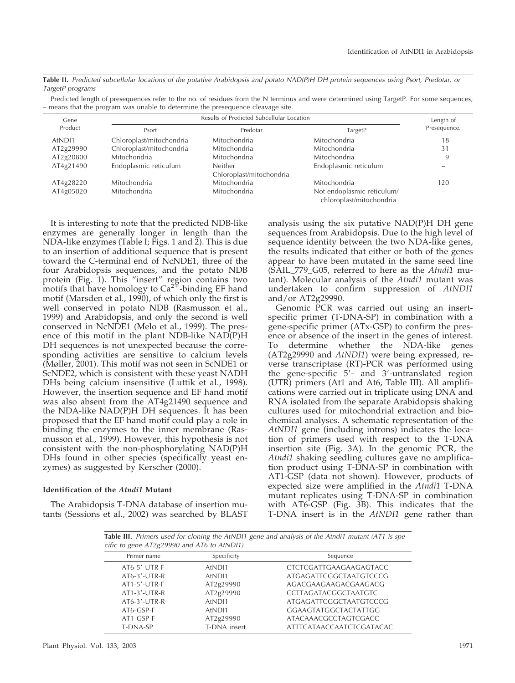**Table II.** *Predicted subcellular locations of the putative Arabidopsis and potato NAD(P)H DH protein sequences using Psort, Predotar, or TargetP programs*

Predicted length of presequences refer to the no. of residues from the N terminus and were determined using TargetP. For some sequences, – means that the program was unable to determine the presequence cleavage site.

| Gene      |                          | Length of                |                                                        |              |  |
|-----------|--------------------------|--------------------------|--------------------------------------------------------|--------------|--|
| Product   | Psort                    | Predotar                 | TargetP                                                | Presequence. |  |
| AtNDI1    | Chloroplast/mitochondria | Mitochondria             | Mitochondria                                           | 18           |  |
| AT2g29990 | Chloroplast/mitochondria | Mitochondria             | Mitochondria                                           | 31           |  |
| AT2g20800 | Mitochondria             | Mitochondria             | Mitochondria                                           | 9            |  |
| AT4g21490 | Endoplasmic reticulum    | <b>Neither</b>           | Endoplasmic reticulum                                  |              |  |
|           |                          | Chloroplast/mitochondria |                                                        |              |  |
| AT4g28220 | Mitochondria             | Mitochondria             | Mitochondria                                           | 120          |  |
| AT4g05020 | Mitochondria             | Mitochondria             | Not endoplasmic reticulum/<br>chloroplast/mitochondria |              |  |

It is interesting to note that the predicted NDB-like enzymes are generally longer in length than the NDA-like enzymes (Table I; Figs. 1 and 2). This is due to an insertion of additional sequence that is present toward the C-terminal end of NcNDE1, three of the four Arabidopsis sequences, and the potato NDB protein (Fig. 1). This "insert" region contains two motifs that have homology to  $\text{Ca}^{24}$ -binding EF hand motif (Marsden et al., 1990), of which only the first is well conserved in potato NDB (Rasmusson et al., 1999) and Arabidopsis, and only the second is well conserved in NcNDE1 (Melo et al., 1999). The presence of this motif in the plant NDB-like NAD(P)H DH sequences is not unexpected because the corresponding activities are sensitive to calcium levels (Møller, 2001). This motif was not seen in ScNDE1 or ScNDE2, which is consistent with these yeast NADH DHs being calcium insensitive (Luttik et al., 1998). However, the insertion sequence and EF hand motif was also absent from the AT4g21490 sequence and the NDA-like NAD(P)H DH sequences. It has been proposed that the EF hand motif could play a role in binding the enzymes to the inner membrane (Rasmusson et al., 1999). However, this hypothesis is not consistent with the non-phosphorylating NAD(P)H DHs found in other species (specifically yeast enzymes) as suggested by Kerscher (2000).

# **Identification of the** *Atndi1* **Mutant**

The Arabidopsis T-DNA database of insertion mutants (Sessions et al., 2002) was searched by BLAST

analysis using the six putative NAD(P)H DH gene sequences from Arabidopsis. Due to the high level of sequence identity between the two NDA-like genes, the results indicated that either or both of the genes appear to have been mutated in the same seed line (SAIL\_779\_G05, referred to here as the *Atndi1* mutant). Molecular analysis of the *Atndi1* mutant was undertaken to confirm suppression of *AtNDI1* and/or AT2g29990.

Genomic PCR was carried out using an insertspecific primer (T-DNA-SP) in combination with a gene-specific primer (ATx-GSP) to confirm the presence or absence of the insert in the genes of interest. To determine whether the NDA-like genes (AT2g29990 and *AtNDI1*) were being expressed, reverse transcriptase (RT)-PCR was performed using the gene-specific 5'- and 3'-untranslated region (UTR) primers (At1 and At6, Table III). All amplifications were carried out in triplicate using DNA and RNA isolated from the separate Arabidopsis shaking cultures used for mitochondrial extraction and biochemical analyses. A schematic representation of the *AtNDI1* gene (including introns) indicates the location of primers used with respect to the T-DNA insertion site (Fig. 3A). In the genomic PCR, the *Atndi1* shaking seedling cultures gave no amplification product using T-DNA-SP in combination with AT1-GSP (data not shown). However, products of expected size were amplified in the *Atndi1* T-DNA mutant replicates using T-DNA-SP in combination with AT6-GSP (Fig. 3B). This indicates that the T-DNA insert is in the *AtNDI1* gene rather than

**Table III.** *Primers used for cloning the AtNDI1 gene and analysis of the Atndi1 mutant (AT1 is specific to gene AT2g29990 and AT6 to AtNDI1)*

| Primer name      | Specificity        | Sequence                        |  |  |  |
|------------------|--------------------|---------------------------------|--|--|--|
| AT6-5'-UTR-F     | AtND <sub>11</sub> | CTCTCGATTGAAGAAGAGTACC          |  |  |  |
| $AT6-3'$ -UTR-R  | AtND <sub>11</sub> | ATGAGATTCGGCTAATGTCCCG          |  |  |  |
| $AT1-5'$ -UTR-F  | AT2g29990          | AGACGAAGAAGACGAAGACG            |  |  |  |
| $AT1-3'$ -UTR-R  | AT2g29990          | CCTTAGATACGGCTAATGTC            |  |  |  |
| $AT6-3' - UTR-R$ | AtNDI1             | ATGAGATTCGGCTAATGTCCCG          |  |  |  |
| AT6-GSP-F        | AtND <sub>11</sub> | GGAAGTATGGCTACTATTGG            |  |  |  |
| AT1-GSP-F        | AT2g29990          | ATACAAACGCCTAGTCGACC            |  |  |  |
| T-DNA-SP         | T-DNA insert       | <b>ATTTCATAACCAATCTCGATACAC</b> |  |  |  |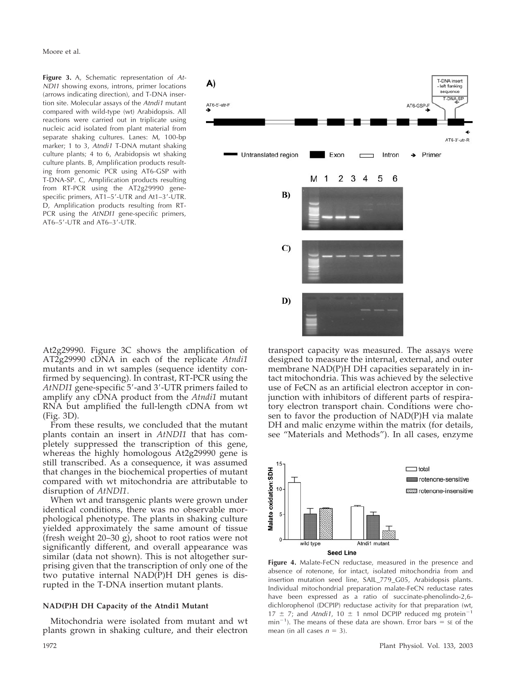Moore et al.

**Figure 3.** A, Schematic representation of *At-NDI1* showing exons, introns, primer locations (arrows indicating direction), and T-DNA insertion site. Molecular assays of the *Atndi1* mutant compared with wild-type (wt) Arabidopsis. All reactions were carried out in triplicate using nucleic acid isolated from plant material from separate shaking cultures. Lanes: M, 100-bp marker; 1 to 3, *Atndi1* T-DNA mutant shaking culture plants; 4 to 6, Arabidopsis wt shaking culture plants. B, Amplification products resulting from genomic PCR using AT6-GSP with T-DNA-SP. C, Amplification products resulting from RT-PCR using the AT2g29990 genespecific primers, AT1-5'-UTR and At1-3'-UTR. D, Amplification products resulting from RT-PCR using the *AtNDI1* gene-specific primers, AT6-5'-UTR and AT6-3'-UTR.



From these results, we concluded that the mutant plants contain an insert in *AtNDI1* that has completely suppressed the transcription of this gene, whereas the highly homologous At2g29990 gene is still transcribed. As a consequence, it was assumed that changes in the biochemical properties of mutant compared with wt mitochondria are attributable to disruption of *AtNDI1*.

When wt and transgenic plants were grown under identical conditions, there was no observable morphological phenotype. The plants in shaking culture yielded approximately the same amount of tissue (fresh weight 20–30 g), shoot to root ratios were not significantly different, and overall appearance was similar (data not shown). This is not altogether surprising given that the transcription of only one of the two putative internal NAD(P)H DH genes is disrupted in the T-DNA insertion mutant plants.

# **NAD(P)H DH Capacity of the Atndi1 Mutant**

Mitochondria were isolated from mutant and wt plants grown in shaking culture, and their electron



transport capacity was measured. The assays were designed to measure the internal, external, and outer membrane NAD(P)H DH capacities separately in intact mitochondria. This was achieved by the selective use of FeCN as an artificial electron acceptor in conjunction with inhibitors of different parts of respiratory electron transport chain. Conditions were chosen to favor the production of NAD(P)H via malate DH and malic enzyme within the matrix (for details, see "Materials and Methods"). In all cases, enzyme



**Figure 4.** Malate-FeCN reductase, measured in the presence and absence of rotenone, for intact, isolated mitochondria from and insertion mutation seed line, SAIL\_779\_G05, Arabidopsis plants. Individual mitochondrial preparation malate-FeCN reductase rates have been expressed as a ratio of succinate-phenolindo-2,6 dichlorophenol (DCPIP) reductase activity for that preparation (wt, 17  $\pm$  7; and *Atndi1*, 10  $\pm$  1 nmol DCPIP reduced mg protein<sup>-1</sup>  $min^{-1}$ ). The means of these data are shown. Error bars = se of the mean (in all cases  $n = 3$ ).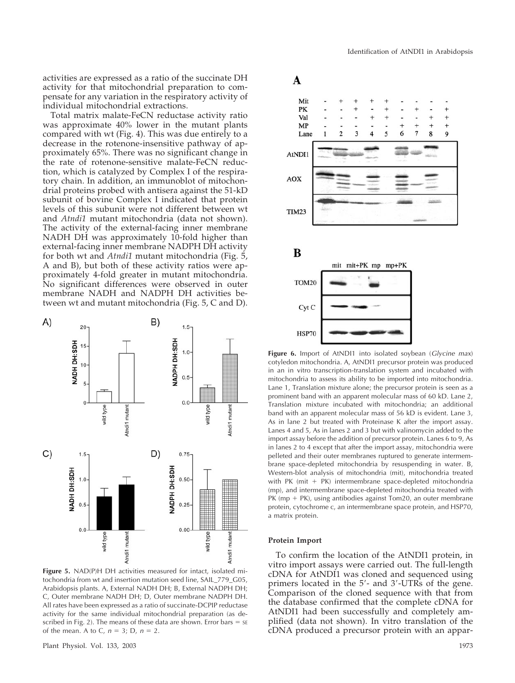activities are expressed as a ratio of the succinate DH activity for that mitochondrial preparation to compensate for any variation in the respiratory activity of individual mitochondrial extractions.

Total matrix malate-FeCN reductase activity ratio was approximate 40% lower in the mutant plants compared with wt (Fig. 4). This was due entirely to a decrease in the rotenone-insensitive pathway of approximately 65%. There was no significant change in the rate of rotenone-sensitive malate-FeCN reduction, which is catalyzed by Complex I of the respiratory chain. In addition, an immunoblot of mitochondrial proteins probed with antisera against the 51-kD subunit of bovine Complex I indicated that protein levels of this subunit were not different between wt and *Atndi1* mutant mitochondria (data not shown). The activity of the external-facing inner membrane NADH DH was approximately 10-fold higher than external-facing inner membrane NADPH DH activity for both wt and *Atndi1* mutant mitochondria (Fig. 5, A and B), but both of these activity ratios were approximately 4-fold greater in mutant mitochondria. No significant differences were observed in outer membrane NADH and NADPH DH activities between wt and mutant mitochondria (Fig. 5, C and D).



**Figure 5.** NAD(P)H DH activities measured for intact, isolated mitochondria from wt and insertion mutation seed line, SAIL\_779\_G05, Arabidopsis plants. A, External NADH DH; B, External NADPH DH; C, Outer membrane NADH DH; D, Outer membrane NADPH DH. All rates have been expressed as a ratio of succinate-DCPIP reductase activity for the same individual mitochondrial preparation (as described in Fig. 2). The means of these data are shown. Error bars  $=$  se of the mean. A to C,  $n = 3$ ; D,  $n = 2$ .



**Figure 6.** Import of AtNDI1 into isolated soybean (*Glycine max*) cotyledon mitochondria. A, AtNDI1 precursor protein was produced in an in vitro transcription-translation system and incubated with mitochondria to assess its ability to be imported into mitochondria. Lane 1, Translation mixture alone; the precursor protein is seen as a prominent band with an apparent molecular mass of 60 kD. Lane 2, Translation mixture incubated with mitochondria; an additional band with an apparent molecular mass of 56 kD is evident. Lane 3, As in lane 2 but treated with Proteinase K after the import assay. Lanes 4 and 5, As in lanes 2 and 3 but with valinomycin added to the import assay before the addition of precursor protein. Lanes 6 to 9, As in lanes 2 to 4 except that after the import assay, mitochondria were pelleted and their outer membranes ruptured to generate intermembrane space-depleted mitochondria by resuspending in water. B, Western-blot analysis of mitochondria (mit), mitochondria treated with PK (mit + PK) intermembrane space-depleted mitochondria (mp), and intermembrane space-depleted mitochondria treated with PK (mp + PK), using antibodies against Tom20, an outer membrane protein, cytochrome c, an intermembrane space protein, and HSP70, a matrix protein.

#### **Protein Import**

To confirm the location of the AtNDI1 protein, in vitro import assays were carried out. The full-length cDNA for AtNDI1 was cloned and sequenced using primers located in the 5'- and 3'-UTRs of the gene. Comparison of the cloned sequence with that from the database confirmed that the complete cDNA for AtNDI1 had been successfully and completely amplified (data not shown). In vitro translation of the cDNA produced a precursor protein with an appar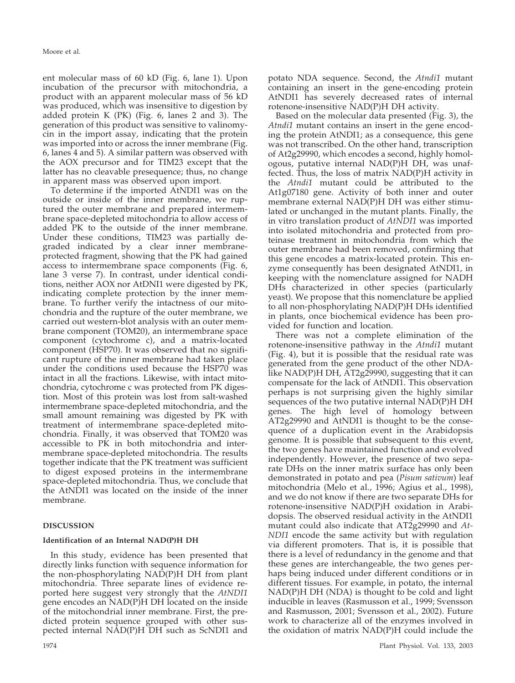ent molecular mass of 60 kD (Fig. 6, lane 1). Upon incubation of the precursor with mitochondria, a product with an apparent molecular mass of 56 kD was produced, which was insensitive to digestion by added protein K (PK) (Fig. 6, lanes 2 and 3). The generation of this product was sensitive to valinomycin in the import assay, indicating that the protein was imported into or across the inner membrane (Fig. 6, lanes 4 and 5). A similar pattern was observed with the AOX precursor and for TIM23 except that the latter has no cleavable presequence; thus, no change in apparent mass was observed upon import.

To determine if the imported AtNDI1 was on the outside or inside of the inner membrane, we ruptured the outer membrane and prepared intermembrane space-depleted mitochondria to allow access of added PK to the outside of the inner membrane. Under these conditions, TIM23 was partially degraded indicated by a clear inner membraneprotected fragment, showing that the PK had gained access to intermembrane space components (Fig. 6, lane 3 verse 7). In contrast, under identical conditions, neither AOX nor AtDNI1 were digested by PK, indicating complete protection by the inner membrane. To further verify the intactness of our mitochondria and the rupture of the outer membrane, we carried out western-blot analysis with an outer membrane component (TOM20), an intermembrane space component (cytochrome c), and a matrix-located component (HSP70). It was observed that no significant rupture of the inner membrane had taken place under the conditions used because the HSP70 was intact in all the fractions. Likewise, with intact mitochondria, cytochrome c was protected from PK digestion. Most of this protein was lost from salt-washed intermembrane space-depleted mitochondria, and the small amount remaining was digested by PK with treatment of intermembrane space-depleted mitochondria. Finally, it was observed that TOM20 was accessible to PK in both mitochondria and intermembrane space-depleted mitochondria. The results together indicate that the PK treatment was sufficient to digest exposed proteins in the intermembrane space-depleted mitochondria. Thus, we conclude that the AtNDI1 was located on the inside of the inner membrane.

# **DISCUSSION**

# **Identification of an Internal NAD(P)H DH**

In this study, evidence has been presented that directly links function with sequence information for the non-phosphorylating NAD(P)H DH from plant mitochondria. Three separate lines of evidence reported here suggest very strongly that the *AtNDI1* gene encodes an NAD(P)H DH located on the inside of the mitochondrial inner membrane. First, the predicted protein sequence grouped with other suspected internal NAD(P)H DH such as ScNDI1 and

potato NDA sequence. Second, the *Atndi1* mutant containing an insert in the gene-encoding protein AtNDI1 has severely decreased rates of internal rotenone-insensitive NAD(P)H DH activity.

Based on the molecular data presented (Fig. 3), the *Atndi1* mutant contains an insert in the gene encoding the protein AtNDI1; as a consequence, this gene was not transcribed. On the other hand, transcription of At2g29990, which encodes a second, highly homologous, putative internal NAD(P)H DH, was unaffected. Thus, the loss of matrix NAD(P)H activity in the *Atndi1* mutant could be attributed to the At1g07180 gene. Activity of both inner and outer membrane external NAD(P)H DH was either stimulated or unchanged in the mutant plants. Finally, the in vitro translation product of *AtNDI1* was imported into isolated mitochondria and protected from proteinase treatment in mitochondria from which the outer membrane had been removed, confirming that this gene encodes a matrix-located protein. This enzyme consequently has been designated AtNDI1, in keeping with the nomenclature assigned for NADH DHs characterized in other species (particularly yeast). We propose that this nomenclature be applied to all non-phosphorylating NAD(P)H DHs identified in plants, once biochemical evidence has been provided for function and location.

There was not a complete elimination of the rotenone-insensitive pathway in the *Atndi1* mutant (Fig. 4), but it is possible that the residual rate was generated from the gene product of the other NDAlike NAD(P)H DH, AT2g29990, suggesting that it can compensate for the lack of AtNDI1. This observation perhaps is not surprising given the highly similar sequences of the two putative internal NAD(P)H DH genes. The high level of homology between AT2g29990 and AtNDI1 is thought to be the consequence of a duplication event in the Arabidopsis genome. It is possible that subsequent to this event, the two genes have maintained function and evolved independently. However, the presence of two separate DHs on the inner matrix surface has only been demonstrated in potato and pea (*Pisum sativum*) leaf mitochondria (Melo et al., 1996; Agius et al., 1998), and we do not know if there are two separate DHs for rotenone-insensitive NAD(P)H oxidation in Arabidopsis. The observed residual activity in the AtNDI1 mutant could also indicate that AT2g29990 and *At-NDI1* encode the same activity but with regulation via different promoters. That is, it is possible that there is a level of redundancy in the genome and that these genes are interchangeable, the two genes perhaps being induced under different conditions or in different tissues. For example, in potato, the internal NAD(P)H DH (NDA) is thought to be cold and light inducible in leaves (Rasmusson et al., 1999; Svensson and Rasmusson, 2001; Svensson et al., 2002). Future work to characterize all of the enzymes involved in the oxidation of matrix NAD(P)H could include the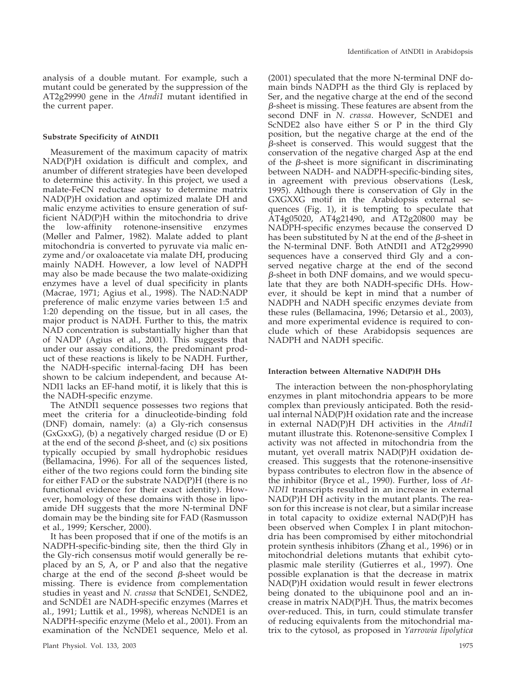analysis of a double mutant. For example, such a mutant could be generated by the suppression of the AT2g29990 gene in the *Atndi1* mutant identified in the current paper.

# **Substrate Specificity of AtNDI1**

Measurement of the maximum capacity of matrix NAD(P)H oxidation is difficult and complex, and anumber of different strategies have been developed to determine this activity. In this project, we used a malate-FeCN reductase assay to determine matrix NAD(P)H oxidation and optimized malate DH and malic enzyme activities to ensure generation of sufficient NAD(P)H within the mitochondria to drive the low-affinity rotenone-insensitive enzymes (Møller and Palmer, 1982). Malate added to plant mitochondria is converted to pyruvate via malic enzyme and/or oxaloacetate via malate DH, producing mainly NADH. However, a low level of NADPH may also be made because the two malate-oxidizing enzymes have a level of dual specificity in plants (Macrae, 1971; Agius et al., 1998). The NAD:NADP preference of malic enzyme varies between 1:5 and 1:20 depending on the tissue, but in all cases, the major product is NADH. Further to this, the matrix NAD concentration is substantially higher than that of NADP (Agius et al., 2001). This suggests that under our assay conditions, the predominant product of these reactions is likely to be NADH. Further, the NADH-specific internal-facing DH has been shown to be calcium independent, and because At-NDI1 lacks an EF-hand motif, it is likely that this is the NADH-specific enzyme.

The AtNDI1 sequence possesses two regions that meet the criteria for a dinucleotide-binding fold (DNF) domain, namely: (a) a Gly-rich consensus (GxGxxG), (b) a negatively charged residue (D or E) at the end of the second  $\beta$ -sheet, and (c) six positions typically occupied by small hydrophobic residues (Bellamacina, 1996). For all of the sequences listed, either of the two regions could form the binding site for either FAD or the substrate NAD(P)H (there is no functional evidence for their exact identity). However, homology of these domains with those in lipoamide DH suggests that the more N-terminal DNF domain may be the binding site for FAD (Rasmusson et al., 1999; Kerscher, 2000).

It has been proposed that if one of the motifs is an NADPH-specific-binding site, then the third Gly in the Gly-rich consensus motif would generally be replaced by an S, A, or P and also that the negative charge at the end of the second  $\beta$ -sheet would be missing. There is evidence from complementation studies in yeast and *N. crassa* that ScNDE1, ScNDE2, and ScNDE1 are NADH-specific enzymes (Marres et al., 1991; Luttik et al., 1998), whereas NcNDE1 is an NADPH-specific enzyme (Melo et al., 2001). From an examination of the NcNDE1 sequence, Melo et al.

(2001) speculated that the more N-terminal DNF domain binds NADPH as the third Gly is replaced by Ser, and the negative charge at the end of the second  $\beta$ -sheet is missing. These features are absent from the second DNF in *N. crassa*. However, ScNDE1 and ScNDE2 also have either S or P in the third Gly position, but the negative charge at the end of the  $\beta$ -sheet is conserved. This would suggest that the conservation of the negative charged Asp at the end of the  $\beta$ -sheet is more significant in discriminating between NADH- and NADPH-specific-binding sites, in agreement with previous observations (Lesk, 1995). Although there is conservation of Gly in the GXGXXG motif in the Arabidopsis external sequences (Fig. 1), it is tempting to speculate that AT4g05020, AT4g21490, and AT2g20800 may be NADPH-specific enzymes because the conserved D has been substituted by N at the end of the  $\beta$ -sheet in the N-terminal DNF. Both AtNDI1 and AT2g29990 sequences have a conserved third Gly and a conserved negative charge at the end of the second  $\beta$ -sheet in both DNF domains, and we would speculate that they are both NADH-specific DHs. However, it should be kept in mind that a number of NADPH and NADH specific enzymes deviate from these rules (Bellamacina, 1996; Detarsio et al., 2003), and more experimental evidence is required to conclude which of these Arabidopsis sequences are NADPH and NADH specific.

## **Interaction between Alternative NAD(P)H DHs**

The interaction between the non-phosphorylating enzymes in plant mitochondria appears to be more complex than previously anticipated. Both the residual internal NAD(P)H oxidation rate and the increase in external NAD(P)H DH activities in the *Atndi1* mutant illustrate this. Rotenone-sensitive Complex I activity was not affected in mitochondria from the mutant, yet overall matrix NAD(P)H oxidation decreased. This suggests that the rotenone-insensitive bypass contributes to electron flow in the absence of the inhibitor (Bryce et al., 1990). Further, loss of *At-NDI1* transcripts resulted in an increase in external NAD(P)H DH activity in the mutant plants. The reason for this increase is not clear, but a similar increase in total capacity to oxidize external NAD(P)H has been observed when Complex I in plant mitochondria has been compromised by either mitochondrial protein synthesis inhibitors (Zhang et al., 1996) or in mitochondrial deletions mutants that exhibit cytoplasmic male sterility (Gutierres et al., 1997). One possible explanation is that the decrease in matrix NAD(P)H oxidation would result in fewer electrons being donated to the ubiquinone pool and an increase in matrix NAD(P)H. Thus, the matrix becomes over-reduced. This, in turn, could stimulate transfer of reducing equivalents from the mitochondrial matrix to the cytosol, as proposed in *Yarrowia lipolytica*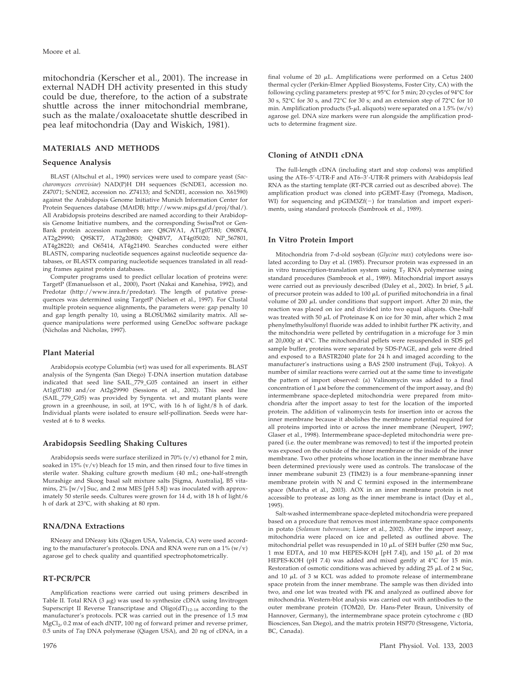mitochondria (Kerscher et al., 2001). The increase in external NADH DH activity presented in this study could be due, therefore, to the action of a substrate shuttle across the inner mitochondrial membrane, such as the malate/oxaloacetate shuttle described in pea leaf mitochondria (Day and Wiskich, 1981).

# **MATERIALS AND METHODS**

#### **Sequence Analysis**

BLAST (Altschul et al., 1990) services were used to compare yeast (*Saccharomyces cerevisiae*) NAD(P)H DH sequences (ScNDE1, accession no. Z47071; ScNDE2, accession no. Z74133; and ScNDI1, accession no. X61590) against the Arabidopsis Genome Initiative Munich Information Center for Protein Sequences database (MAtDB; http://www.mips.gsf.d/proj/thal/). All Arabidopsis proteins described are named according to their Arabidopsis Genome Initiative numbers, and the corresponding SwissProt or Gen-Bank protein accession numbers are: Q8GWA1, AT1g07180; O80874, AT2g29990; Q9SKT7, AT2g20800; Q94BV7, AT4g05020; NP\_567801, AT4g28220; and O65414, AT4g21490. Searches conducted were either BLASTN, comparing nucleotide sequences against nucleotide sequence databases, or BLASTX comparing nucleotide sequences translated in all reading frames against protein databases.

Computer programs used to predict cellular location of proteins were: TargetP (Emanuelsson et al., 2000), Psort (Nakai and Kanehisa, 1992), and Predotar (http://www.inra.fr/predotar). The length of putative presequences was determined using TargetP (Nielsen et al., 1997). For Clustal multiple protein sequence alignments, the parameters were: gap penalty 10 and gap length penalty 10, using a BLOSUM62 similarity matrix. All sequence manipulations were performed using GeneDoc software package (Nicholas and Nicholas, 1997).

#### **Plant Material**

Arabidopsis ecotype Columbia (wt) was used for all experiments. BLAST analysis of the Syngenta (San Diego) T-DNA insertion mutation database indicated that seed line SAIL\_779\_G05 contained an insert in either At1g07180 and/or At2g29990 (Sessions et al., 2002). This seed line (SAIL\_779\_G05) was provided by Syngenta. wt and mutant plants were grown in a greenhouse, in soil, at 19°C, with 16 h of light/8 h of dark. Individual plants were isolated to ensure self-pollination. Seeds were harvested at 6 to 8 weeks.

# **Arabidopsis Seedling Shaking Cultures**

Arabidopsis seeds were surface sterilized in 70% (v/v) ethanol for 2 min, soaked in 15% (v/v) bleach for 15 min, and then rinsed four to five times in sterile water. Shaking culture growth medium (40 mL; one-half-strength Murashige and Skoog basal salt mixture salts [Sigma, Australia], B5 vitamins,  $2\%$  [w/v] Suc, and 2 mm MES [pH 5.8]) was inoculated with approximately 50 sterile seeds. Cultures were grown for 14 d, with 18 h of light/6 h of dark at 23°C, with shaking at 80 rpm.

# **RNA/DNA Extractions**

RNeasy and DNeasy kits (Qiagen USA, Valencia, CA) were used according to the manufacturer's protocols. DNA and RNA were run on a  $1\%$  (w/v) agarose gel to check quality and quantified spectrophotometrically.

# **RT-PCR/PCR**

Amplification reactions were carried out using primers described in Table II. Total RNA (3  $\mu$ g) was used to synthesize cDNA using Invitrogen Superscript II Reverse Transcriptase and  $Oligo(dT)_{12-18}$  according to the manufacturer's protocols. PCR was carried out in the presence of 1.5 mm MgCl<sub>2</sub>, 0.2 mm of each dNTP, 100 ng of forward primer and reverse primer, 0.5 units of *Taq* DNA polymerase (Qiagen USA), and 20 ng of cDNA, in a

final volume of 20  $\mu$ L. Amplifications were performed on a Cetus 2400 thermal cycler (Perkin-Elmer Applied Biosystems, Foster City, CA) with the following cycling parameters: prestep at 95°C for 5 min; 20 cycles of 94°C for 30 s, 52°C for 30 s, and 72°C for 30 s; and an extension step of 72°C for 10 min. Amplification products (5- $\mu$ L aliquots) were separated on a 1.5% (w/v) agarose gel. DNA size markers were run alongside the amplification products to determine fragment size.

#### **Cloning of AtNDI1 cDNA**

The full-length cDNA (including start and stop codons) was amplified using the AT6–5'-UTR-F and AT6–3'-UTR-R primers with Arabidopsis leaf RNA as the starting template (RT-PCR carried out as described above). The amplification product was cloned into pGEMT-Easy (Promega, Madison, WI) for sequencing and  $pGEM3Zf(-)$  for translation and import experiments, using standard protocols (Sambrook et al., 1989).

### **In Vitro Protein Import**

Mitochondria from 7-d-old soybean (*Glycine max*) cotyledons were isolated according to Day et al. (1985). Precursor protein was expressed in an in vitro transcription-translation system using  $T<sub>7</sub>$  RNA polymerase using standard procedures (Sambrook et al., 1989). Mitochondrial import assays were carried out as previously described (Daley et al., 2002). In brief, 5  $\mu\rm L$ of precursor protein was added to 100  $\mu$ L of purified mitochondria in a final volume of 200  $\mu$ L under conditions that support import. After 20 min, the reaction was placed on ice and divided into two equal aliquots. One-half was treated with 50  $\rm \mu L$  of Proteinase K on ice for 30 min, after which 2 mm phenylmethylsulfonyl fluoride was added to inhibit further PK activity, and the mitochondria were pelleted by centrifugation in a microfuge for 3 min at 20,000*g* at 4°C. The mitochondrial pellets were resuspended in SDS gel sample buffer, proteins were separated by SDS-PAGE, and gels were dried and exposed to a BASTR2040 plate for 24 h and imaged according to the manufacturer's instructions using a BAS 2500 instrument (Fuji, Tokyo). A number of similar reactions were carried out at the same time to investigate the pattern of import observed: (a) Valinomycin was added to a final concentration of 1  $\mu$ м before the commencement of the import assay, and (b) intermembrane space-depleted mitochondria were prepared from mitochondria after the import assay to test for the location of the imported protein. The addition of valinomycin tests for insertion into or across the inner membrane because it abolishes the membrane potential required for all proteins imported into or across the inner membrane (Neupert, 1997; Glaser et al., 1998). Intermembrane space-depleted mitochondria were prepared (i.e. the outer membrane was removed) to test if the imported protein was exposed on the outside of the inner membrane or the inside of the inner membrane. Two other proteins whose location in the inner membrane have been determined previously were used as controls. The translocase of the inner membrane subunit 23 (TIM23) is a four membrane-spanning inner membrane protein with N and C termini exposed in the intermembrane space (Murcha et al., 2003). AOX in an inner membrane protein is not accessible to protease as long as the inner membrane is intact (Day et al., 1995).

Salt-washed intermembrane space-depleted mitochondria were prepared based on a procedure that removes most intermembrane space components in potato (*Solanum tuberosum*; Lister et al., 2002). After the import assay, mitochondria were placed on ice and pelleted as outlined above. The mitochondrial pellet was resuspended in 10  $\mu {\rm L}$  of SEH buffer (250 mm Suc,  $1$  mm EDTA, and  $10$  mm HEPES-KOH [pH 7.4]), and  $150\,{\rm\thinspace \mu L}$  of  $20$  mm HEPES-KOH (pH 7.4) was added and mixed gently at 4°C for 15 min. Restoration of osmotic conditions was achieved by adding 25  $\rm \mu L$  of 2 m Suc, and 10  $\rm \mu L$  of 3 m KCL was added to promote release of intermembrane space protein from the inner membrane. The sample was then divided into two, and one lot was treated with PK and analyzed as outlined above for mitochondria. Western-blot analysis was carried out with antibodies to the outer membrane protein (TOM20, Dr. Hans-Peter Braun, University of Hannover, Germany), the intermembrane space protein cytochrome c (BD Biosciences, San Diego), and the matrix protein HSP70 (Stressgene, Victoria, BC, Canada).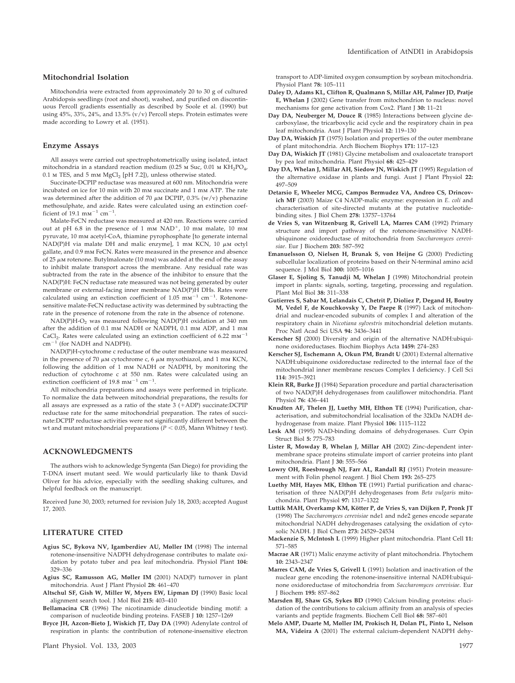## **Mitochondrial Isolation**

Mitochondria were extracted from approximately 20 to 30 g of cultured Arabidopsis seedlings (root and shoot), washed, and purified on discontinuous Percoll gradients essentially as described by Soole et al. (1990) but using 45%, 33%, 24%, and 13.5% (v/v) Percoll steps. Protein estimates were made according to Lowry et al. (1951).

#### **Enzyme Assays**

All assays were carried out spectrophotometrically using isolated, intact mitochondria in a standard reaction medium (0.25 M Suc, 0.01 M  $KH_2PO_4$ ,  $0.1$  m TES, and  $5$  mm  $\rm{MgCl}_{2}$  [pH 7.2]), unless otherwise stated.

Succinate-DCPIP reductase was measured at 600 nm. Mitochondria were incubated on ice for 10 min with 20 mm succinate and 1 mm ATP. The rate was determined after the addition of 70  $\mu$ m DCPIP, 0.3% (w/v) phenazine methosulphate, and azide. Rates were calculated using an extinction coefficient of 19.1 mm<sup>-1</sup> cm<sup>-1</sup>.

Malate-FeCN reductase was measured at 420 nm. Reactions were carried out at pH 6.8 in the presence of  $1 \text{ mm } NAD^+$ ,  $10 \text{ mm } mala$ te,  $10 \text{ mm}$ pyruvate, 10 mm acetyl-CoA, thiamine pyrophosphate [to generate internal  $\mathrm{NAD}(\mathrm{P})\mathrm{H}$  via malate DH and malic enzyme], 1 mm KCN, 10  $\mu$ m octyl gallate, and 0.9 mm FeCN. Rates were measured in the presence and absence of 25  $\mu$ m rotenone. Butylmalonate (10 mm) was added at the end of the assay to inhibit malate transport across the membrane. Any residual rate was subtracted from the rate in the absence of the inhibitor to ensure that the NAD(P)H: FeCN reductase rate measured was not being generated by outer membrane or external-facing inner membrane NAD(P)H DHs. Rates were calculated using an extinction coefficient of  $1.05 \text{ mm}^{-1} \text{ cm}^{-1}$ . Rotenonesensitive malate-FeCN reductase activity was determined by subtracting the rate in the presence of rotenone from the rate in the absence of rotenone.

NAD(P)H-O<sub>2</sub> was measured following NAD(P)H oxidation at 340 nm after the addition of 0.1 mm NADH or NADPH, 0.1 mm ADP, and 1 mm CaCl<sub>2</sub>. Rates were calculated using an extinction coefficient of 6.22  $mm^{-1}$  $cm^{-1}$  (for NADH and NADPH).

NAD(P)H-cytochrome c reductase of the outer membrane was measured in the presence of 70  $\mu$ m cytochrome c, 6  $\mu$ m myxothiazol, and 1 mm KCN, following the addition of 1 mm NADH or NADPH, by monitoring the reduction of cytochrome c at 550 nm. Rates were calculated using an extinction coefficient of 19.8  $mm^{-1}$  cm<sup>-1</sup>.

All mitochondria preparations and assays were performed in triplicate. To normalize the data between mitochondrial preparations, the results for all assays are expressed as a ratio of the state  $3 + ADDP$  succinate:DCPIP reductase rate for the same mitochondrial preparation. The rates of succinate:DCPIP reductase activities were not significantly different between the wt and mutant mitochondrial preparations ( $P < 0.05$ , Mann Whitney *t* test).

#### **ACKNOWLEDGMENTS**

The authors wish to acknowledge Syngenta (San Diego) for providing the T-DNA insert mutant seed. We would particularly like to thank David Oliver for his advice, especially with the seedling shaking cultures, and helpful feedback on the manuscript.

Received June 30, 2003; returned for revision July 18, 2003; accepted August 17, 2003.

## **LITERATURE CITED**

- **Agius SC, Bykova NV, Igamberdiev AU, Møller IM** (1998) The internal rotenone-insensitive NADPH dehydrogenase contributes to malate oxidation by potato tuber and pea leaf mitochondria. Physiol Plant **104:** 329–336
- **Agius SC, Ramusson AG, Møller IM** (2001) NAD(P) turnover in plant mitochondria. Aust J Plant Physiol **28:** 461–470
- **Altschul SF, Gish W, Miller W, Myers EW, Lipman DJ** (1990) Basic local alignment search tool. J Mol Biol **215:** 403–410
- **Bellamacina CR** (1996) The nicotinamide dinucleotide binding motif: a comparison of nucleotide binding proteins. FASEB J **10:** 1257–1269
- **Bryce JH, Azcon-Bieto J, Wiskich JT, Day DA** (1990) Adenylate control of respiration in plants: the contribution of rotenone-insensitive electron

transport to ADP-limited oxygen consumption by soybean mitochondria. Physiol Plant **78:** 105–111

- **Daley D, Adams KL, Clifton R, Qualmann S, Millar AH, Palmer JD, Pratje E, Whelan J** (2002) Gene transfer from mitochondrion to nucleus: novel mechanisms for gene activation from Cox2. Plant J **30:** 11–21
- **Day DA, Neuberger M, Douce R** (1985) Interactions between glycine decarboxylase, the tricarboxylic acid cycle and the respiratory chain in pea leaf mitochondria. Aust J Plant Physiol **12:** 119–130
- **Day DA, Wiskich JT** (1975) Isolation and properties of the outer membrane of plant mitochondria. Arch Biochem Biophys **171:** 117–123
- **Day DA, Wiskich JT** (1981) Glycine metabolism and oxaloacetate transport by pea leaf mitochondria. Plant Physiol **68:** 425–429
- **Day DA, Whelan J, Millar AH, Siedow JN, Wiskich JT** (1995) Regulation of the alternative oxidase in plants and fungi. Aust J Plant Physiol **22:** 497–509
- **Detarsio E, Wheeler MCG, Campos Bermudez VA, Andreo CS, Drincovich MF** (2003) Maize C4 NADP-malic enzyme: expression in *E. coli* and characterisation of site-directed mutants at the putative nucleotidebinding sites. J Biol Chem **278:** 13757–13764
- **de Vries S, van Witzenburg R, Grivell LA, Marres CAM** (1992) Primary structure and import pathway of the rotenone-insensitive NADHubiquinone oxidoreductase of mitochondria from *Saccharomyces cerevisiae*. Eur J Biochem **203:** 587–592
- **Emanuelsson O, Nielsen H, Brunak S, von Heijne G** (2000) Predicting subcellular localization of proteins based on their N-terminal amino acid sequence. J Mol Biol **300:** 1005–1016
- **Glaser E, Sjoling S, Tanudji M, Whelan J** (1998) Mitochondrial protein import in plants: signals, sorting, targeting, processing and regulation. Plant Mol Biol **38:** 311–338
- **Gutierres S, Sabar M, Lelandais C, Chetrit P, Dioliez P, Degand H, Boutry M, Vedel F, de Kouchkovsky Y, De Paepe R** (1997) Lack of mitochondrial and nuclear-encoded subunits of complex I and alteration of the respiratory chain in *Nicotiana sylvestris* mitochondrial deletion mutants. Proc Natl Acad Sci USA **94:** 3436–3441
- **Kerscher SJ** (2000) Diversity and origin of the alternative NADH:ubiquinone oxidoreductases. Biochim Biophys Acta **1459:** 274–283
- **Kerscher SJ, Eschemann A, Okun PM, Brandt U** (2001) External alternative NADH:ubiquinone oxidoreductase redirected to the internal face of the mitochondrial inner membrane rescues Complex I deficiency. J Cell Sci **114:** 3915–3921
- **Klein RR, Burke JJ** (1984) Separation procedure and partial characterisation of two NAD(P)H dehydrogenases from cauliflower mitochondria. Plant Physiol **76:** 436–441
- **Knudten AF, Thelen JJ, Luethy MH, Elthon TE** (1994) Purification, characterisation, and submitochondrial localisation of the 32kDa NADH dehydrogenase from maize. Plant Physiol **106:** 1115–1122
- **Lesk AM** (1995) NAD-binding domains of dehydrogenases. Curr Opin Struct Biol **5:** 775–783
- **Lister R, Mowday B, Whelan J, Millar AH** (2002) Zinc-dependent intermembrane space proteins stimulate import of carrier proteins into plant mitochondria. Plant J **30:** 555–566
- **Lowry OH, Roesbrough NJ, Farr AL, Randall RJ** (1951) Protein measurement with Folin phenol reagent. J Biol Chem **193:** 265–275
- **Luethy MH, Hayes MK, Elthon TE** (1991) Partial purification and characterisation of three NAD(P)H dehydrogenases from *Beta vulgaris* mitochondria. Plant Physiol **97:** 1317–1322
- Luttik MAH, Overkamp KM, Kötter P, de Vries S, van Dijken P, Pronk JT (1998) The *Saccharomyces cerevisiae* nde1 and nde2 genes encode separate mitochondrial NADH dehydrogenases catalysing the oxidation of cytosolic NADH. J Biol Chem **273:** 24529–24534
- **Mackenzie S, McIntosh L** (1999) Higher plant mitochondria. Plant Cell **11:** 571–585
- **Macrae AR** (1971) Malic enzyme activity of plant mitochondria. Phytochem **10:** 2343–2347
- **Marres CAM, de Vries S, Grivell L** (1991) Isolation and inactivation of the nuclear gene encoding the rotenone-insensitive internal NADH:ubiquinone oxidoreductase of mitochondria from *Saccharomyces cerevisiae*. Eur J Biochem **195:** 857–862
- **Marsden BJ, Shaw GS, Sykes BD** (1990) Calcium binding proteins: elucidation of the contributions to calcium affinity from an analysis of species variants and peptide fragments. Biochem Cell Biol **68:** 587–601
- **Melo AMP, Duarte M, Møller IM, Prokisch H, Dolan PL, Pinto L, Nelson MA, Videira A** (2001) The external calcium-dependent NADPH dehy-